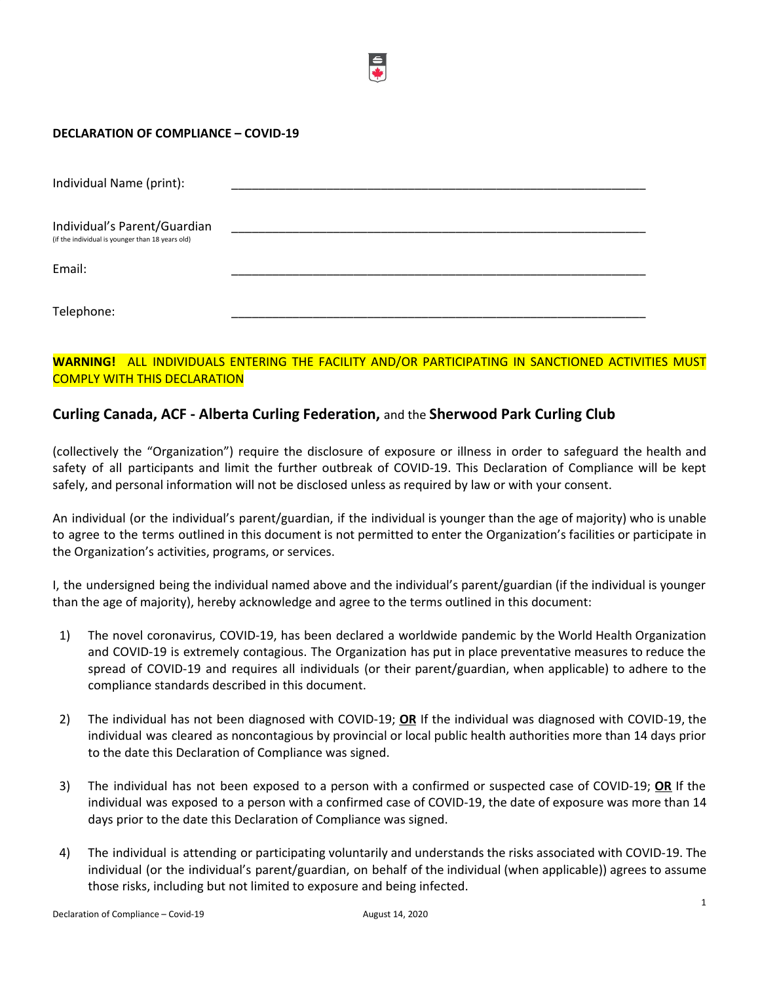## **DECLARATION OF COMPLIANCE – COVID-19**

| Individual Name (print):                                                         |  |
|----------------------------------------------------------------------------------|--|
| Individual's Parent/Guardian<br>(if the individual is younger than 18 years old) |  |
| Email:                                                                           |  |
| Telephone:                                                                       |  |

## **WARNING!** ALL INDIVIDUALS ENTERING THE FACILITY AND/OR PARTICIPATING IN SANCTIONED ACTIVITIES MUST COMPLY WITH THIS DECLARATION

## **Curling Canada, ACF - Alberta Curling Federation,** and the **Sherwood Park Curling Club**

(collectively the "Organization") require the disclosure of exposure or illness in order to safeguard the health and safety of all participants and limit the further outbreak of COVID-19. This Declaration of Compliance will be kept safely, and personal information will not be disclosed unless as required by law or with your consent.

An individual (or the individual's parent/guardian, if the individual is younger than the age of majority) who is unable to agree to the terms outlined in this document is not permitted to enter the Organization's facilities or participate in the Organization's activities, programs, or services.

I, the undersigned being the individual named above and the individual's parent/guardian (if the individual is younger than the age of majority), hereby acknowledge and agree to the terms outlined in this document:

- 1) The novel coronavirus, COVID-19, has been declared a worldwide pandemic by the World Health Organization and COVID-19 is extremely contagious. The Organization has put in place preventative measures to reduce the spread of COVID-19 and requires all individuals (or their parent/guardian, when applicable) to adhere to the compliance standards described in this document.
- 2) The individual has not been diagnosed with COVID-19; **OR** If the individual was diagnosed with COVID-19, the individual was cleared as noncontagious by provincial or local public health authorities more than 14 days prior to the date this Declaration of Compliance was signed.
- 3) The individual has not been exposed to a person with a confirmed or suspected case of COVID-19; **OR** If the individual was exposed to a person with a confirmed case of COVID-19, the date of exposure was more than 14 days prior to the date this Declaration of Compliance was signed.
- 4) The individual is attending or participating voluntarily and understands the risks associated with COVID-19. The individual (or the individual's parent/guardian, on behalf of the individual (when applicable)) agrees to assume those risks, including but not limited to exposure and being infected.